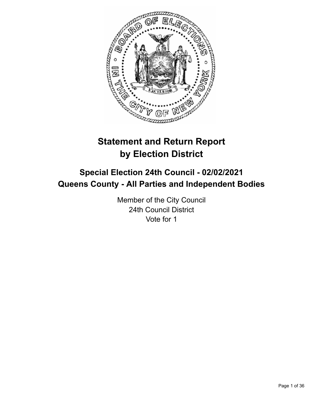

# **Statement and Return Report by Election District**

# **Special Election 24th Council - 02/02/2021 Queens County - All Parties and Independent Bodies**

Member of the City Council 24th Council District Vote for 1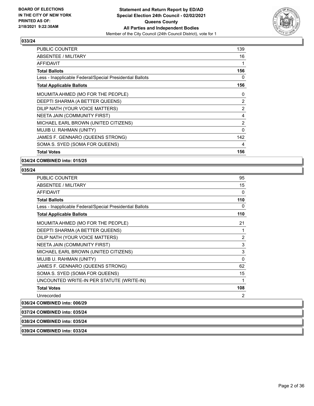

| <b>PUBLIC COUNTER</b>                                    | 139 |
|----------------------------------------------------------|-----|
| ABSENTEE / MILITARY                                      | 16  |
| <b>AFFIDAVIT</b>                                         | 1   |
| <b>Total Ballots</b>                                     | 156 |
| Less - Inapplicable Federal/Special Presidential Ballots | 0   |
| <b>Total Applicable Ballots</b>                          | 156 |
| MOUMITA AHMED (MO FOR THE PEOPLE)                        | 0   |
| DEEPTI SHARMA (A BETTER QUEENS)                          | 2   |
| DILIP NATH (YOUR VOICE MATTERS)                          | 2   |
| NEETA JAIN (COMMUNITY FIRST)                             | 4   |
| MICHAEL EARL BROWN (UNITED CITIZENS)                     | 2   |
| MUJIB U. RAHMAN (UNITY)                                  | 0   |
| JAMES F. GENNARO (QUEENS STRONG)                         | 142 |
| SOMA S. SYED (SOMA FOR QUEENS)                           | 4   |
| <b>Total Votes</b>                                       | 156 |

**034/24 COMBINED into: 015/25**

# **035/24**

| ABSENTEE / MILITARY<br><b>AFFIDAVIT</b><br><b>Total Ballots</b><br>Less - Inapplicable Federal/Special Presidential Ballots | 15<br>0<br>110<br>0<br>110 |
|-----------------------------------------------------------------------------------------------------------------------------|----------------------------|
|                                                                                                                             |                            |
|                                                                                                                             |                            |
|                                                                                                                             |                            |
|                                                                                                                             |                            |
| <b>Total Applicable Ballots</b>                                                                                             |                            |
| MOUMITA AHMED (MO FOR THE PEOPLE)                                                                                           | 21                         |
| DEEPTI SHARMA (A BETTER QUEENS)                                                                                             | 1                          |
| DILIP NATH (YOUR VOICE MATTERS)                                                                                             | 2                          |
| NEETA JAIN (COMMUNITY FIRST)                                                                                                | 3                          |
| MICHAEL EARL BROWN (UNITED CITIZENS)                                                                                        | 3                          |
| MUJIB U. RAHMAN (UNITY)                                                                                                     | 0                          |
| JAMES F. GENNARO (QUEENS STRONG)                                                                                            | 62                         |
| SOMA S. SYED (SOMA FOR QUEENS)                                                                                              | 15                         |
| UNCOUNTED WRITE-IN PER STATUTE (WRITE-IN)                                                                                   | 1                          |
| <b>Total Votes</b>                                                                                                          | 108                        |
| Unrecorded                                                                                                                  | 2                          |

**036/24 COMBINED into: 006/29**

**037/24 COMBINED into: 035/24**

**038/24 COMBINED into: 035/24**

**039/24 COMBINED into: 033/24**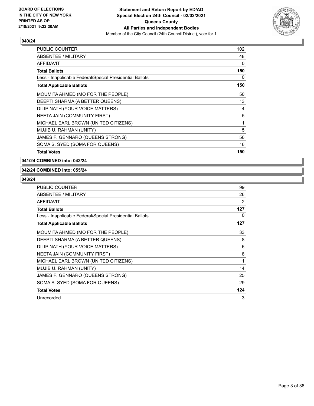

| <b>PUBLIC COUNTER</b>                                    | 102 |
|----------------------------------------------------------|-----|
| ABSENTEE / MILITARY                                      | 48  |
| AFFIDAVIT                                                | 0   |
| Total Ballots                                            | 150 |
| Less - Inapplicable Federal/Special Presidential Ballots | 0   |
| <b>Total Applicable Ballots</b>                          | 150 |
| MOUMITA AHMED (MO FOR THE PEOPLE)                        | 50  |
| DEEPTI SHARMA (A BETTER QUEENS)                          | 13  |
| DILIP NATH (YOUR VOICE MATTERS)                          | 4   |
| NEETA JAIN (COMMUNITY FIRST)                             | 5   |
| MICHAEL EARL BROWN (UNITED CITIZENS)                     | 1   |
| MUJIB U. RAHMAN (UNITY)                                  | 5   |
| JAMES F. GENNARO (QUEENS STRONG)                         | 56  |
| SOMA S. SYED (SOMA FOR QUEENS)                           | 16  |
| <b>Total Votes</b>                                       | 150 |

**041/24 COMBINED into: 043/24**

#### **042/24 COMBINED into: 055/24**

| <b>PUBLIC COUNTER</b>                                    | 99  |
|----------------------------------------------------------|-----|
| ABSENTEE / MILITARY                                      | 26  |
| <b>AFFIDAVIT</b>                                         | 2   |
| <b>Total Ballots</b>                                     | 127 |
| Less - Inapplicable Federal/Special Presidential Ballots | 0   |
| <b>Total Applicable Ballots</b>                          | 127 |
| MOUMITA AHMED (MO FOR THE PEOPLE)                        | 33  |
| DEEPTI SHARMA (A BETTER QUEENS)                          | 8   |
| DILIP NATH (YOUR VOICE MATTERS)                          | 6   |
| NEETA JAIN (COMMUNITY FIRST)                             | 8   |
| MICHAEL EARL BROWN (UNITED CITIZENS)                     | 1   |
| MUJIB U. RAHMAN (UNITY)                                  | 14  |
| JAMES F. GENNARO (QUEENS STRONG)                         | 25  |
| SOMA S. SYED (SOMA FOR QUEENS)                           | 29  |
| <b>Total Votes</b>                                       | 124 |
| Unrecorded                                               | 3   |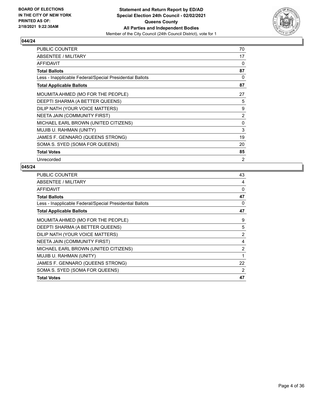

| <b>PUBLIC COUNTER</b>                                    | 70 |
|----------------------------------------------------------|----|
| ABSENTEE / MILITARY                                      | 17 |
| <b>AFFIDAVIT</b>                                         | 0  |
| <b>Total Ballots</b>                                     | 87 |
| Less - Inapplicable Federal/Special Presidential Ballots | 0  |
| <b>Total Applicable Ballots</b>                          | 87 |
| MOUMITA AHMED (MO FOR THE PEOPLE)                        | 27 |
| DEEPTI SHARMA (A BETTER QUEENS)                          | 5  |
| DILIP NATH (YOUR VOICE MATTERS)                          | 9  |
| NEETA JAIN (COMMUNITY FIRST)                             | 2  |
| MICHAEL EARL BROWN (UNITED CITIZENS)                     | 0  |
| MUJIB U. RAHMAN (UNITY)                                  | 3  |
| JAMES F. GENNARO (QUEENS STRONG)                         | 19 |
| SOMA S. SYED (SOMA FOR QUEENS)                           | 20 |
| <b>Total Votes</b>                                       | 85 |
| Unrecorded                                               | 2  |

| <b>PUBLIC COUNTER</b>                                    | 43 |
|----------------------------------------------------------|----|
| ABSENTEE / MILITARY                                      | 4  |
| AFFIDAVIT                                                | 0  |
| <b>Total Ballots</b>                                     | 47 |
| Less - Inapplicable Federal/Special Presidential Ballots | 0  |
| <b>Total Applicable Ballots</b>                          | 47 |
| MOUMITA AHMED (MO FOR THE PEOPLE)                        | 9  |
| DEEPTI SHARMA (A BETTER QUEENS)                          | 5  |
| DILIP NATH (YOUR VOICE MATTERS)                          | 2  |
| NEETA JAIN (COMMUNITY FIRST)                             | 4  |
| MICHAEL EARL BROWN (UNITED CITIZENS)                     | 2  |
| MUJIB U. RAHMAN (UNITY)                                  | 1  |
| JAMES F. GENNARO (QUEENS STRONG)                         | 22 |
| SOMA S. SYED (SOMA FOR QUEENS)                           | 2  |
| <b>Total Votes</b>                                       | 47 |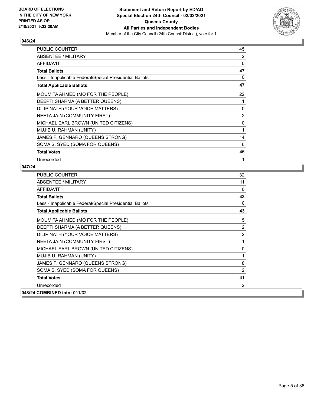

| PUBLIC COUNTER                                           | 45       |
|----------------------------------------------------------|----------|
| ABSENTEE / MILITARY                                      | 2        |
| <b>AFFIDAVIT</b>                                         | 0        |
| <b>Total Ballots</b>                                     | 47       |
| Less - Inapplicable Federal/Special Presidential Ballots | 0        |
| <b>Total Applicable Ballots</b>                          | 47       |
| MOUMITA AHMED (MO FOR THE PEOPLE)                        | 22       |
| DEEPTI SHARMA (A BETTER QUEENS)                          |          |
| DILIP NATH (YOUR VOICE MATTERS)                          | $\Omega$ |
| NEETA JAIN (COMMUNITY FIRST)                             | 2        |
| MICHAEL EARL BROWN (UNITED CITIZENS)                     | 0        |
| MUJIB U. RAHMAN (UNITY)                                  | 1        |
| JAMES F. GENNARO (QUEENS STRONG)                         | 14       |
| SOMA S. SYED (SOMA FOR QUEENS)                           | 6        |
| <b>Total Votes</b>                                       | 46       |
| Unrecorded                                               | 1        |

| <b>PUBLIC COUNTER</b>                                    | 32          |
|----------------------------------------------------------|-------------|
| <b>ABSENTEE / MILITARY</b>                               | 11          |
| <b>AFFIDAVIT</b>                                         | $\Omega$    |
| <b>Total Ballots</b>                                     | 43          |
| Less - Inapplicable Federal/Special Presidential Ballots | 0           |
| <b>Total Applicable Ballots</b>                          | 43          |
| MOUMITA AHMED (MO FOR THE PEOPLE)                        | 15          |
| DEEPTI SHARMA (A BETTER QUEENS)                          | 2           |
| DILIP NATH (YOUR VOICE MATTERS)                          | 2           |
| NEETA JAIN (COMMUNITY FIRST)                             | 1           |
| MICHAEL EARL BROWN (UNITED CITIZENS)                     | 0           |
| MUJIB U. RAHMAN (UNITY)                                  | $\mathbf 1$ |
| JAMES F. GENNARO (QUEENS STRONG)                         | 18          |
| SOMA S. SYED (SOMA FOR QUEENS)                           | 2           |
| <b>Total Votes</b>                                       | 41          |
| Unrecorded                                               | 2           |
| 048/24 COMBINED into: 011/32                             |             |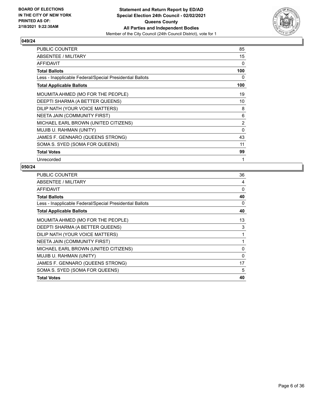

| PUBLIC COUNTER                                           | 85             |
|----------------------------------------------------------|----------------|
| ABSENTEE / MILITARY                                      | 15             |
| AFFIDAVIT                                                | 0              |
| <b>Total Ballots</b>                                     | 100            |
| Less - Inapplicable Federal/Special Presidential Ballots | 0              |
| <b>Total Applicable Ballots</b>                          | 100            |
| MOUMITA AHMED (MO FOR THE PEOPLE)                        | 19             |
| DEEPTI SHARMA (A BETTER QUEENS)                          | 10             |
| DILIP NATH (YOUR VOICE MATTERS)                          | 8              |
| NEETA JAIN (COMMUNITY FIRST)                             | 6              |
| MICHAEL EARL BROWN (UNITED CITIZENS)                     | $\overline{2}$ |
| MUJIB U. RAHMAN (UNITY)                                  | $\Omega$       |
| JAMES F. GENNARO (QUEENS STRONG)                         | 43             |
| SOMA S. SYED (SOMA FOR QUEENS)                           | 11             |
| <b>Total Votes</b>                                       | 99             |
| Unrecorded                                               | 1              |

| <b>PUBLIC COUNTER</b>                                    | 36 |
|----------------------------------------------------------|----|
| ABSENTEE / MILITARY                                      | 4  |
| AFFIDAVIT                                                | 0  |
| <b>Total Ballots</b>                                     | 40 |
| Less - Inapplicable Federal/Special Presidential Ballots | 0  |
| <b>Total Applicable Ballots</b>                          | 40 |
| MOUMITA AHMED (MO FOR THE PEOPLE)                        | 13 |
| DEEPTI SHARMA (A BETTER QUEENS)                          | 3  |
| DILIP NATH (YOUR VOICE MATTERS)                          | 1  |
| NEETA JAIN (COMMUNITY FIRST)                             | 1  |
| MICHAEL EARL BROWN (UNITED CITIZENS)                     | 0  |
| MUJIB U. RAHMAN (UNITY)                                  | 0  |
| JAMES F. GENNARO (QUEENS STRONG)                         | 17 |
| SOMA S. SYED (SOMA FOR QUEENS)                           | 5  |
| <b>Total Votes</b>                                       | 40 |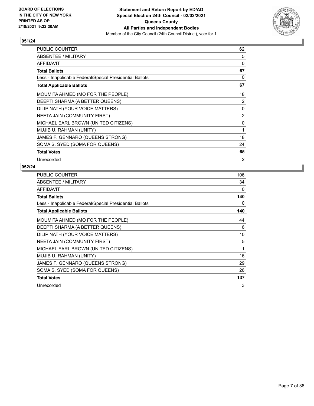

| PUBLIC COUNTER                                           | 62             |
|----------------------------------------------------------|----------------|
| <b>ABSENTEE / MILITARY</b>                               | 5              |
| <b>AFFIDAVIT</b>                                         | 0              |
| <b>Total Ballots</b>                                     | 67             |
| Less - Inapplicable Federal/Special Presidential Ballots | 0              |
| <b>Total Applicable Ballots</b>                          | 67             |
| MOUMITA AHMED (MO FOR THE PEOPLE)                        | 18             |
| DEEPTI SHARMA (A BETTER QUEENS)                          | 2              |
| DILIP NATH (YOUR VOICE MATTERS)                          | $\mathbf{0}$   |
| NEETA JAIN (COMMUNITY FIRST)                             | $\overline{2}$ |
| MICHAEL EARL BROWN (UNITED CITIZENS)                     | 0              |
| MUJIB U. RAHMAN (UNITY)                                  | 1              |
| JAMES F. GENNARO (QUEENS STRONG)                         | 18             |
| SOMA S. SYED (SOMA FOR QUEENS)                           | 24             |
| <b>Total Votes</b>                                       | 65             |
| Unrecorded                                               | 2              |

| <b>PUBLIC COUNTER</b>                                    | 106      |
|----------------------------------------------------------|----------|
| ABSENTEE / MILITARY                                      | 34       |
| AFFIDAVIT                                                | $\Omega$ |
| <b>Total Ballots</b>                                     | 140      |
| Less - Inapplicable Federal/Special Presidential Ballots | 0        |
| <b>Total Applicable Ballots</b>                          | 140      |
| MOUMITA AHMED (MO FOR THE PEOPLE)                        | 44       |
| DEEPTI SHARMA (A BETTER QUEENS)                          | 6        |
| DILIP NATH (YOUR VOICE MATTERS)                          | 10       |
| NEETA JAIN (COMMUNITY FIRST)                             | 5        |
| MICHAEL EARL BROWN (UNITED CITIZENS)                     | 1        |
| MUJIB U. RAHMAN (UNITY)                                  | 16       |
| JAMES F. GENNARO (QUEENS STRONG)                         | 29       |
| SOMA S. SYED (SOMA FOR QUEENS)                           | 26       |
| <b>Total Votes</b>                                       | 137      |
| Unrecorded                                               | 3        |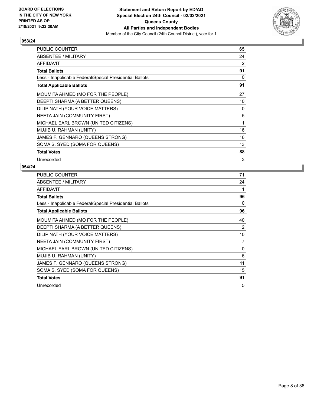

| PUBLIC COUNTER                                           | 65 |
|----------------------------------------------------------|----|
| ABSENTEE / MILITARY                                      | 24 |
| <b>AFFIDAVIT</b>                                         | 2  |
| <b>Total Ballots</b>                                     | 91 |
| Less - Inapplicable Federal/Special Presidential Ballots | 0  |
| <b>Total Applicable Ballots</b>                          | 91 |
| MOUMITA AHMED (MO FOR THE PEOPLE)                        | 27 |
| DEEPTI SHARMA (A BETTER QUEENS)                          | 10 |
| DILIP NATH (YOUR VOICE MATTERS)                          | 0  |
| NEETA JAIN (COMMUNITY FIRST)                             | 5  |
| MICHAEL EARL BROWN (UNITED CITIZENS)                     | 1  |
| MUJIB U. RAHMAN (UNITY)                                  | 16 |
| JAMES F. GENNARO (QUEENS STRONG)                         | 16 |
| SOMA S. SYED (SOMA FOR QUEENS)                           | 13 |
| <b>Total Votes</b>                                       | 88 |
| Unrecorded                                               | 3  |

| PUBLIC COUNTER                                           | 71 |
|----------------------------------------------------------|----|
| ABSENTEE / MILITARY                                      | 24 |
| <b>AFFIDAVIT</b>                                         | 1  |
| <b>Total Ballots</b>                                     | 96 |
| Less - Inapplicable Federal/Special Presidential Ballots | 0  |
| <b>Total Applicable Ballots</b>                          | 96 |
| MOUMITA AHMED (MO FOR THE PEOPLE)                        | 40 |
| DEEPTI SHARMA (A BETTER QUEENS)                          | 2  |
| DILIP NATH (YOUR VOICE MATTERS)                          | 10 |
| NEETA JAIN (COMMUNITY FIRST)                             | 7  |
| MICHAEL EARL BROWN (UNITED CITIZENS)                     | 0  |
| MUJIB U. RAHMAN (UNITY)                                  | 6  |
| JAMES F. GENNARO (QUEENS STRONG)                         | 11 |
| SOMA S. SYED (SOMA FOR QUEENS)                           | 15 |
| <b>Total Votes</b>                                       | 91 |
| Unrecorded                                               | 5  |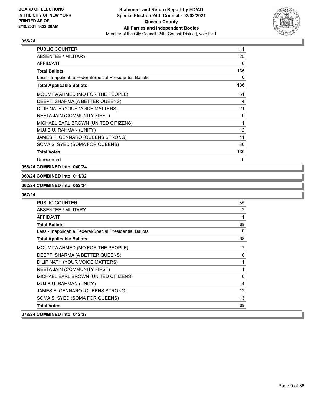

| <b>PUBLIC COUNTER</b>                                    | 111               |
|----------------------------------------------------------|-------------------|
| ABSENTEE / MILITARY                                      | 25                |
| <b>AFFIDAVIT</b>                                         | 0                 |
| <b>Total Ballots</b>                                     | 136               |
| Less - Inapplicable Federal/Special Presidential Ballots | 0                 |
| <b>Total Applicable Ballots</b>                          | 136               |
| MOUMITA AHMED (MO FOR THE PEOPLE)                        | 51                |
| DEEPTI SHARMA (A BETTER QUEENS)                          | 4                 |
| DILIP NATH (YOUR VOICE MATTERS)                          | 21                |
| <b>NEETA JAIN (COMMUNITY FIRST)</b>                      | 0                 |
| MICHAEL EARL BROWN (UNITED CITIZENS)                     | 1                 |
| MUJIB U. RAHMAN (UNITY)                                  | $12 \overline{ }$ |
| JAMES F. GENNARO (QUEENS STRONG)                         | 11                |
| SOMA S. SYED (SOMA FOR QUEENS)                           | 30                |
| <b>Total Votes</b>                                       | 130               |
| Unrecorded                                               | 6                 |

#### **056/24 COMBINED into: 040/24**

#### **060/24 COMBINED into: 011/32**

#### **062/24 COMBINED into: 052/24**

| <b>PUBLIC COUNTER</b>                                    | 35             |
|----------------------------------------------------------|----------------|
| <b>ABSENTEE / MILITARY</b>                               | $\overline{2}$ |
| <b>AFFIDAVIT</b>                                         | 1              |
| <b>Total Ballots</b>                                     | 38             |
| Less - Inapplicable Federal/Special Presidential Ballots | $\Omega$       |
| <b>Total Applicable Ballots</b>                          | 38             |
| MOUMITA AHMED (MO FOR THE PEOPLE)                        | $\overline{7}$ |
| DEEPTI SHARMA (A BETTER QUEENS)                          | 0              |
| DILIP NATH (YOUR VOICE MATTERS)                          | 1              |
| NEETA JAIN (COMMUNITY FIRST)                             |                |
| MICHAEL EARL BROWN (UNITED CITIZENS)                     | 0              |
| MUJIB U. RAHMAN (UNITY)                                  | $\overline{4}$ |
| JAMES F. GENNARO (QUEENS STRONG)                         | 12             |
| SOMA S. SYED (SOMA FOR QUEENS)                           | 13             |
| <b>Total Votes</b>                                       | 38             |
| 078/24 COMBINED into: 012/27                             |                |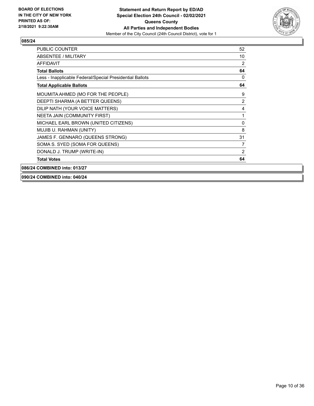

| PUBLIC COUNTER                                           | 52       |
|----------------------------------------------------------|----------|
| ABSENTEE / MILITARY                                      | 10       |
| AFFIDAVIT                                                | 2        |
| <b>Total Ballots</b>                                     | 64       |
| Less - Inapplicable Federal/Special Presidential Ballots | $\Omega$ |
| <b>Total Applicable Ballots</b>                          | 64       |
| MOUMITA AHMED (MO FOR THE PEOPLE)                        | 9        |
| DEEPTI SHARMA (A BETTER QUEENS)                          | 2        |
| DILIP NATH (YOUR VOICE MATTERS)                          | 4        |
| NEETA JAIN (COMMUNITY FIRST)                             | 1        |
| MICHAEL EARL BROWN (UNITED CITIZENS)                     | $\Omega$ |
| MUJIB U. RAHMAN (UNITY)                                  | 8        |
| JAMES F. GENNARO (QUEENS STRONG)                         | 31       |
| SOMA S. SYED (SOMA FOR QUEENS)                           | 7        |
| DONALD J. TRUMP (WRITE-IN)                               | 2        |
| <b>Total Votes</b>                                       | 64       |
| 086/24 COMBINED into: 013/27                             |          |

**090/24 COMBINED into: 040/24**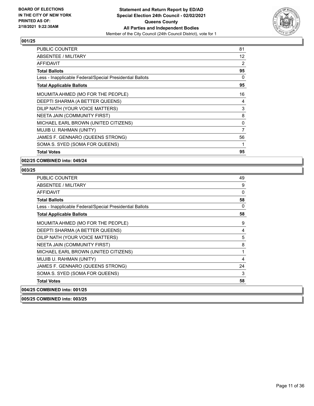

| <b>PUBLIC COUNTER</b>                                    | 81 |
|----------------------------------------------------------|----|
| <b>ABSENTEE / MILITARY</b>                               | 12 |
| AFFIDAVIT                                                | 2  |
| <b>Total Ballots</b>                                     | 95 |
| Less - Inapplicable Federal/Special Presidential Ballots | 0  |
| <b>Total Applicable Ballots</b>                          | 95 |
| MOUMITA AHMED (MO FOR THE PEOPLE)                        | 16 |
| DEEPTI SHARMA (A BETTER QUEENS)                          | 4  |
| DILIP NATH (YOUR VOICE MATTERS)                          | 3  |
| NEETA JAIN (COMMUNITY FIRST)                             | 8  |
| MICHAEL EARL BROWN (UNITED CITIZENS)                     | 0  |
| MUJIB U. RAHMAN (UNITY)                                  | 7  |
| JAMES F. GENNARO (QUEENS STRONG)                         | 56 |
| SOMA S. SYED (SOMA FOR QUEENS)                           | 1  |
| <b>Total Votes</b>                                       | 95 |

**002/25 COMBINED into: 049/24**

# **003/25**

| <b>PUBLIC COUNTER</b>                                    | 49       |
|----------------------------------------------------------|----------|
| ABSENTEE / MILITARY                                      | 9        |
| AFFIDAVIT                                                | 0        |
| <b>Total Ballots</b>                                     | 58       |
| Less - Inapplicable Federal/Special Presidential Ballots | $\Omega$ |
| <b>Total Applicable Ballots</b>                          | 58       |
| MOUMITA AHMED (MO FOR THE PEOPLE)                        | 9        |
| DEEPTI SHARMA (A BETTER QUEENS)                          | 4        |
| DILIP NATH (YOUR VOICE MATTERS)                          | 5        |
| NEETA JAIN (COMMUNITY FIRST)                             | 8        |
| MICHAEL EARL BROWN (UNITED CITIZENS)                     | 1        |
| MUJIB U. RAHMAN (UNITY)                                  | 4        |
| JAMES F. GENNARO (QUEENS STRONG)                         | 24       |
| SOMA S. SYED (SOMA FOR QUEENS)                           | 3        |
| <b>Total Votes</b>                                       | 58       |
| 004/25 COMBINED into: 001/25                             |          |

**005/25 COMBINED into: 003/25**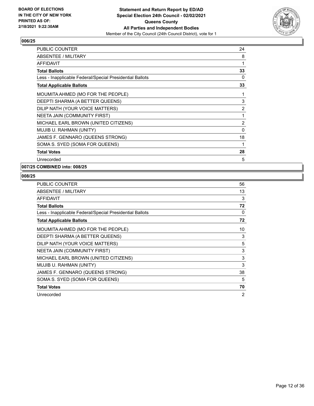

| <b>PUBLIC COUNTER</b>                                    | 24             |
|----------------------------------------------------------|----------------|
| ABSENTEE / MILITARY                                      | 8              |
| <b>AFFIDAVIT</b>                                         | 1              |
| <b>Total Ballots</b>                                     | 33             |
| Less - Inapplicable Federal/Special Presidential Ballots | 0              |
| <b>Total Applicable Ballots</b>                          | 33             |
| MOUMITA AHMED (MO FOR THE PEOPLE)                        | 1              |
| DEEPTI SHARMA (A BETTER QUEENS)                          | 3              |
| DILIP NATH (YOUR VOICE MATTERS)                          | 2              |
| <b>NEETA JAIN (COMMUNITY FIRST)</b>                      | 1              |
| MICHAEL EARL BROWN (UNITED CITIZENS)                     | $\overline{2}$ |
| MUJIB U. RAHMAN (UNITY)                                  | 0              |
| JAMES F. GENNARO (QUEENS STRONG)                         | 18             |
| SOMA S. SYED (SOMA FOR QUEENS)                           | 1              |
| <b>Total Votes</b>                                       | 28             |
| Unrecorded                                               | 5              |

# **007/25 COMBINED into: 008/25**

| <b>PUBLIC COUNTER</b>                                    | 56             |
|----------------------------------------------------------|----------------|
| ABSENTEE / MILITARY                                      | 13             |
| <b>AFFIDAVIT</b>                                         | 3              |
| <b>Total Ballots</b>                                     | 72             |
| Less - Inapplicable Federal/Special Presidential Ballots | $\Omega$       |
| <b>Total Applicable Ballots</b>                          | 72             |
| MOUMITA AHMED (MO FOR THE PEOPLE)                        | 10             |
| DEEPTI SHARMA (A BETTER QUEENS)                          | 3              |
| DILIP NATH (YOUR VOICE MATTERS)                          | 5              |
| NEETA JAIN (COMMUNITY FIRST)                             | 3              |
| MICHAEL EARL BROWN (UNITED CITIZENS)                     | 3              |
| MUJIB U. RAHMAN (UNITY)                                  | 3              |
| JAMES F. GENNARO (QUEENS STRONG)                         | 38             |
| SOMA S. SYED (SOMA FOR QUEENS)                           | 5              |
| <b>Total Votes</b>                                       | 70             |
| Unrecorded                                               | $\overline{2}$ |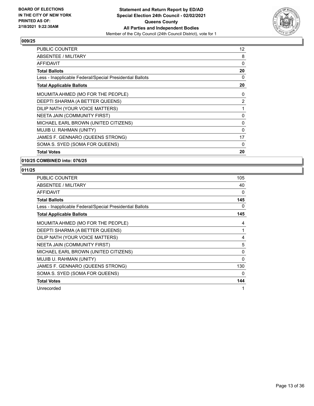

| <b>PUBLIC COUNTER</b>                                    | $12 \overline{ }$ |
|----------------------------------------------------------|-------------------|
| ABSENTEE / MILITARY                                      | 8                 |
| <b>AFFIDAVIT</b>                                         | 0                 |
| <b>Total Ballots</b>                                     | 20                |
| Less - Inapplicable Federal/Special Presidential Ballots | 0                 |
| <b>Total Applicable Ballots</b>                          | 20                |
| MOUMITA AHMED (MO FOR THE PEOPLE)                        | 0                 |
| DEEPTI SHARMA (A BETTER QUEENS)                          | 2                 |
| DILIP NATH (YOUR VOICE MATTERS)                          | 1                 |
| NEETA JAIN (COMMUNITY FIRST)                             | 0                 |
| MICHAEL EARL BROWN (UNITED CITIZENS)                     | 0                 |
| MUJIB U. RAHMAN (UNITY)                                  | 0                 |
| JAMES F. GENNARO (QUEENS STRONG)                         | 17                |
| SOMA S. SYED (SOMA FOR QUEENS)                           | 0                 |
| <b>Total Votes</b>                                       | 20                |

**010/25 COMBINED into: 076/25**

| PUBLIC COUNTER                                           | 105 |
|----------------------------------------------------------|-----|
| ABSENTEE / MILITARY                                      | 40  |
| <b>AFFIDAVIT</b>                                         | 0   |
| <b>Total Ballots</b>                                     | 145 |
| Less - Inapplicable Federal/Special Presidential Ballots | 0   |
| <b>Total Applicable Ballots</b>                          | 145 |
| MOUMITA AHMED (MO FOR THE PEOPLE)                        | 4   |
| DEEPTI SHARMA (A BETTER QUEENS)                          |     |
| DILIP NATH (YOUR VOICE MATTERS)                          | 4   |
| NEETA JAIN (COMMUNITY FIRST)                             | 5   |
| MICHAEL EARL BROWN (UNITED CITIZENS)                     | 0   |
| MUJIB U. RAHMAN (UNITY)                                  | 0   |
| JAMES F. GENNARO (QUEENS STRONG)                         | 130 |
| SOMA S. SYED (SOMA FOR QUEENS)                           | 0   |
| <b>Total Votes</b>                                       | 144 |
| Unrecorded                                               | 1   |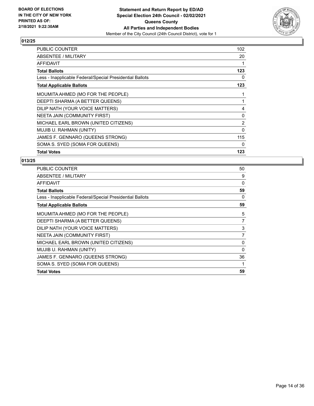

| <b>PUBLIC COUNTER</b>                                    | 102      |
|----------------------------------------------------------|----------|
| ABSENTEE / MILITARY                                      | 20       |
| AFFIDAVIT                                                | 1        |
| <b>Total Ballots</b>                                     | 123      |
| Less - Inapplicable Federal/Special Presidential Ballots | 0        |
| <b>Total Applicable Ballots</b>                          | 123      |
| MOUMITA AHMED (MO FOR THE PEOPLE)                        | 1        |
| DEEPTI SHARMA (A BETTER QUEENS)                          | 1        |
| DILIP NATH (YOUR VOICE MATTERS)                          | 4        |
| NEETA JAIN (COMMUNITY FIRST)                             | 0        |
| MICHAEL EARL BROWN (UNITED CITIZENS)                     | 2        |
| MUJIB U. RAHMAN (UNITY)                                  | $\Omega$ |
| JAMES F. GENNARO (QUEENS STRONG)                         | 115      |
| SOMA S. SYED (SOMA FOR QUEENS)                           | $\Omega$ |
| <b>Total Votes</b>                                       | 123      |

| <b>PUBLIC COUNTER</b>                                    | 50       |
|----------------------------------------------------------|----------|
| ABSENTEE / MILITARY                                      | 9        |
| AFFIDAVIT                                                | 0        |
| <b>Total Ballots</b>                                     | 59       |
| Less - Inapplicable Federal/Special Presidential Ballots | $\Omega$ |
| <b>Total Applicable Ballots</b>                          | 59       |
| MOUMITA AHMED (MO FOR THE PEOPLE)                        | 5        |
| DEEPTI SHARMA (A BETTER QUEENS)                          | 7        |
| DILIP NATH (YOUR VOICE MATTERS)                          | 3        |
| NEETA JAIN (COMMUNITY FIRST)                             | 7        |
| MICHAEL EARL BROWN (UNITED CITIZENS)                     | 0        |
| MUJIB U. RAHMAN (UNITY)                                  | 0        |
| JAMES F. GENNARO (QUEENS STRONG)                         | 36       |
| SOMA S. SYED (SOMA FOR QUEENS)                           | 1        |
| <b>Total Votes</b>                                       | 59       |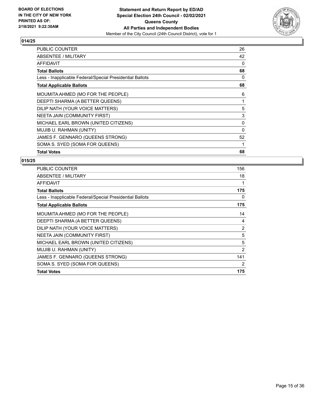

| <b>PUBLIC COUNTER</b>                                    | 26       |
|----------------------------------------------------------|----------|
| ABSENTEE / MILITARY                                      | 42       |
| AFFIDAVIT                                                | 0        |
| <b>Total Ballots</b>                                     | 68       |
| Less - Inapplicable Federal/Special Presidential Ballots | 0        |
| <b>Total Applicable Ballots</b>                          | 68       |
| MOUMITA AHMED (MO FOR THE PEOPLE)                        | 6        |
| DEEPTI SHARMA (A BETTER QUEENS)                          | 1        |
| DILIP NATH (YOUR VOICE MATTERS)                          | 5        |
| NEETA JAIN (COMMUNITY FIRST)                             | 3        |
| MICHAEL EARL BROWN (UNITED CITIZENS)                     | 0        |
| MUJIB U. RAHMAN (UNITY)                                  | $\Omega$ |
| JAMES F. GENNARO (QUEENS STRONG)                         | 52       |
| SOMA S. SYED (SOMA FOR QUEENS)                           | 1        |
| <b>Total Votes</b>                                       | 68       |

| <b>PUBLIC COUNTER</b>                                    | 156            |
|----------------------------------------------------------|----------------|
| ABSENTEE / MILITARY                                      | 18             |
| <b>AFFIDAVIT</b>                                         | 1              |
| <b>Total Ballots</b>                                     | 175            |
| Less - Inapplicable Federal/Special Presidential Ballots | 0              |
| <b>Total Applicable Ballots</b>                          | 175            |
| MOUMITA AHMED (MO FOR THE PEOPLE)                        | 14             |
| DEEPTI SHARMA (A BETTER QUEENS)                          | 4              |
| DILIP NATH (YOUR VOICE MATTERS)                          | 2              |
| NEETA JAIN (COMMUNITY FIRST)                             | 5              |
| MICHAEL EARL BROWN (UNITED CITIZENS)                     | 5              |
| MUJIB U. RAHMAN (UNITY)                                  | $\overline{2}$ |
| JAMES F. GENNARO (QUEENS STRONG)                         | 141            |
| SOMA S. SYED (SOMA FOR QUEENS)                           | $\overline{2}$ |
| <b>Total Votes</b>                                       | 175            |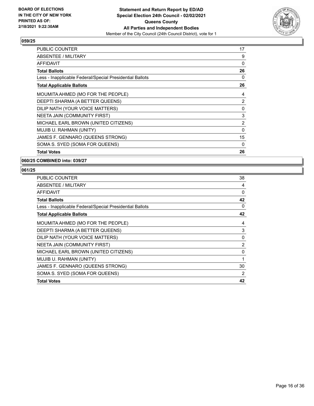

| <b>PUBLIC COUNTER</b>                                    | 17 |
|----------------------------------------------------------|----|
| ABSENTEE / MILITARY                                      | 9  |
| <b>AFFIDAVIT</b>                                         | 0  |
| <b>Total Ballots</b>                                     | 26 |
| Less - Inapplicable Federal/Special Presidential Ballots | 0  |
| <b>Total Applicable Ballots</b>                          | 26 |
| MOUMITA AHMED (MO FOR THE PEOPLE)                        | 4  |
| DEEPTI SHARMA (A BETTER QUEENS)                          | 2  |
| DILIP NATH (YOUR VOICE MATTERS)                          | 0  |
| NEETA JAIN (COMMUNITY FIRST)                             | 3  |
| MICHAEL EARL BROWN (UNITED CITIZENS)                     | 2  |
| MUJIB U. RAHMAN (UNITY)                                  | 0  |
| JAMES F. GENNARO (QUEENS STRONG)                         | 15 |
| SOMA S. SYED (SOMA FOR QUEENS)                           | 0  |
| <b>Total Votes</b>                                       | 26 |

**060/25 COMBINED into: 039/27**

| <b>PUBLIC COUNTER</b>                                    | 38             |
|----------------------------------------------------------|----------------|
| ABSENTEE / MILITARY                                      | 4              |
| AFFIDAVIT                                                | 0              |
| <b>Total Ballots</b>                                     | 42             |
| Less - Inapplicable Federal/Special Presidential Ballots | 0              |
| <b>Total Applicable Ballots</b>                          | 42             |
| MOUMITA AHMED (MO FOR THE PEOPLE)                        | 4              |
| DEEPTI SHARMA (A BETTER QUEENS)                          | 3              |
| DILIP NATH (YOUR VOICE MATTERS)                          | 0              |
| NEETA JAIN (COMMUNITY FIRST)                             | $\overline{2}$ |
| MICHAEL EARL BROWN (UNITED CITIZENS)                     | 0              |
| MUJIB U. RAHMAN (UNITY)                                  | 1              |
| JAMES F. GENNARO (QUEENS STRONG)                         | 30             |
| SOMA S. SYED (SOMA FOR QUEENS)                           | 2              |
| <b>Total Votes</b>                                       | 42             |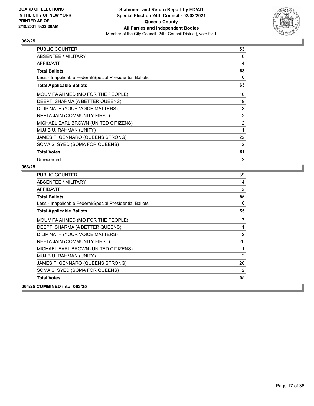

| PUBLIC COUNTER                                           | 53             |
|----------------------------------------------------------|----------------|
| ABSENTEE / MILITARY                                      | 6              |
| AFFIDAVIT                                                | 4              |
| <b>Total Ballots</b>                                     | 63             |
| Less - Inapplicable Federal/Special Presidential Ballots | $\Omega$       |
| <b>Total Applicable Ballots</b>                          | 63             |
| MOUMITA AHMED (MO FOR THE PEOPLE)                        | 10             |
| DEEPTI SHARMA (A BETTER QUEENS)                          | 19             |
| DILIP NATH (YOUR VOICE MATTERS)                          | 3              |
| NEETA JAIN (COMMUNITY FIRST)                             | 2              |
| MICHAEL EARL BROWN (UNITED CITIZENS)                     | $\overline{2}$ |
| MUJIB U. RAHMAN (UNITY)                                  | 1              |
| JAMES F. GENNARO (QUEENS STRONG)                         | 22             |
| SOMA S. SYED (SOMA FOR QUEENS)                           | 2              |
| <b>Total Votes</b>                                       | 61             |
| Unrecorded                                               | 2              |

| PUBLIC COUNTER                                           | 39             |
|----------------------------------------------------------|----------------|
| <b>ABSENTEE / MILITARY</b>                               | 14             |
| AFFIDAVIT                                                | 2              |
| <b>Total Ballots</b>                                     | 55             |
| Less - Inapplicable Federal/Special Presidential Ballots | $\Omega$       |
| <b>Total Applicable Ballots</b>                          | 55             |
| MOUMITA AHMED (MO FOR THE PEOPLE)                        | 7              |
| DEEPTI SHARMA (A BETTER QUEENS)                          | 1              |
| DILIP NATH (YOUR VOICE MATTERS)                          | 2              |
| NEETA JAIN (COMMUNITY FIRST)                             | 20             |
| MICHAEL EARL BROWN (UNITED CITIZENS)                     | 1              |
| MUJIB U. RAHMAN (UNITY)                                  | $\overline{2}$ |
| JAMES F. GENNARO (QUEENS STRONG)                         | 20             |
| SOMA S. SYED (SOMA FOR QUEENS)                           | 2              |
| <b>Total Votes</b>                                       | 55             |
| 064/25 COMBINED into: 063/25                             |                |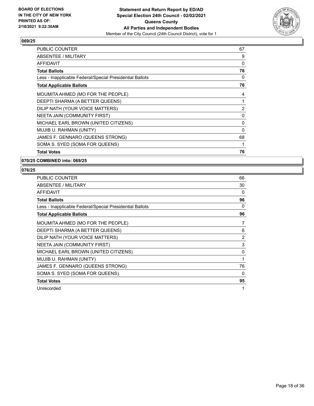

| <b>PUBLIC COUNTER</b>                                    | 67 |
|----------------------------------------------------------|----|
| ABSENTEE / MILITARY                                      | 9  |
| <b>AFFIDAVIT</b>                                         | 0  |
| <b>Total Ballots</b>                                     | 76 |
| Less - Inapplicable Federal/Special Presidential Ballots | 0  |
| <b>Total Applicable Ballots</b>                          | 76 |
| MOUMITA AHMED (MO FOR THE PEOPLE)                        | 4  |
| DEEPTI SHARMA (A BETTER QUEENS)                          | 1  |
| DILIP NATH (YOUR VOICE MATTERS)                          | 2  |
| NEETA JAIN (COMMUNITY FIRST)                             | 0  |
| MICHAEL EARL BROWN (UNITED CITIZENS)                     | 0  |
| MUJIB U. RAHMAN (UNITY)                                  | 0  |
| JAMES F. GENNARO (QUEENS STRONG)                         | 68 |
| SOMA S. SYED (SOMA FOR QUEENS)                           | 1  |
| <b>Total Votes</b>                                       | 76 |

**070/25 COMBINED into: 069/25**

| PUBLIC COUNTER                                           | 66 |
|----------------------------------------------------------|----|
| ABSENTEE / MILITARY                                      | 30 |
| <b>AFFIDAVIT</b>                                         | 0  |
| <b>Total Ballots</b>                                     | 96 |
| Less - Inapplicable Federal/Special Presidential Ballots | 0  |
| <b>Total Applicable Ballots</b>                          | 96 |
| MOUMITA AHMED (MO FOR THE PEOPLE)                        | 7  |
| DEEPTI SHARMA (A BETTER QUEENS)                          | 6  |
| DILIP NATH (YOUR VOICE MATTERS)                          | 2  |
| NEETA JAIN (COMMUNITY FIRST)                             | 3  |
| MICHAEL EARL BROWN (UNITED CITIZENS)                     | 0  |
| MUJIB U. RAHMAN (UNITY)                                  | 1  |
| JAMES F. GENNARO (QUEENS STRONG)                         | 76 |
| SOMA S. SYED (SOMA FOR QUEENS)                           | 0  |
| <b>Total Votes</b>                                       | 95 |
| Unrecorded                                               | 1  |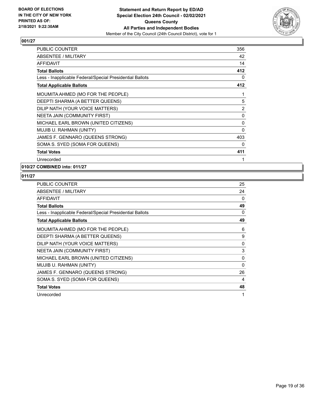

| PUBLIC COUNTER                                           | 356            |
|----------------------------------------------------------|----------------|
| ABSENTEE / MILITARY                                      | 42             |
| AFFIDAVIT                                                | 14             |
| <b>Total Ballots</b>                                     | 412            |
| Less - Inapplicable Federal/Special Presidential Ballots | 0              |
| <b>Total Applicable Ballots</b>                          | 412            |
| MOUMITA AHMED (MO FOR THE PEOPLE)                        | 1              |
| DEEPTI SHARMA (A BETTER QUEENS)                          | 5              |
| DILIP NATH (YOUR VOICE MATTERS)                          | $\overline{2}$ |
| NEETA JAIN (COMMUNITY FIRST)                             | 0              |
| MICHAEL EARL BROWN (UNITED CITIZENS)                     | 0              |
| MUJIB U. RAHMAN (UNITY)                                  | 0              |
| JAMES F. GENNARO (QUEENS STRONG)                         | 403            |
| SOMA S. SYED (SOMA FOR QUEENS)                           | 0              |
| <b>Total Votes</b>                                       | 411            |
| Unrecorded                                               | 1              |

# **010/27 COMBINED into: 011/27**

| <b>PUBLIC COUNTER</b>                                    | 25       |
|----------------------------------------------------------|----------|
| ABSENTEE / MILITARY                                      | 24       |
| <b>AFFIDAVIT</b>                                         | 0        |
| <b>Total Ballots</b>                                     | 49       |
| Less - Inapplicable Federal/Special Presidential Ballots | 0        |
| <b>Total Applicable Ballots</b>                          | 49       |
| MOUMITA AHMED (MO FOR THE PEOPLE)                        | 6        |
| DEEPTI SHARMA (A BETTER QUEENS)                          | 9        |
| DILIP NATH (YOUR VOICE MATTERS)                          | $\Omega$ |
| NEETA JAIN (COMMUNITY FIRST)                             | 3        |
| MICHAEL EARL BROWN (UNITED CITIZENS)                     | 0        |
| MUJIB U. RAHMAN (UNITY)                                  | $\Omega$ |
| JAMES F. GENNARO (QUEENS STRONG)                         | 26       |
| SOMA S. SYED (SOMA FOR QUEENS)                           | 4        |
| <b>Total Votes</b>                                       | 48       |
| Unrecorded                                               | 1        |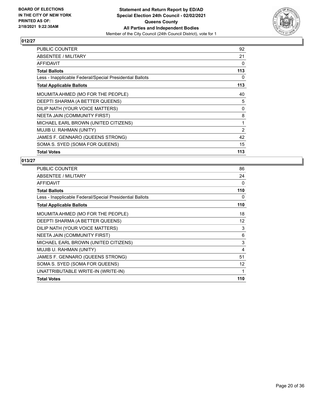

| PUBLIC COUNTER                                           | 92  |
|----------------------------------------------------------|-----|
| ABSENTEE / MILITARY                                      | 21  |
| AFFIDAVIT                                                | 0   |
| <b>Total Ballots</b>                                     | 113 |
| Less - Inapplicable Federal/Special Presidential Ballots | 0   |
| <b>Total Applicable Ballots</b>                          | 113 |
| MOUMITA AHMED (MO FOR THE PEOPLE)                        | 40  |
| DEEPTI SHARMA (A BETTER QUEENS)                          | 5   |
| DILIP NATH (YOUR VOICE MATTERS)                          | 0   |
| NEETA JAIN (COMMUNITY FIRST)                             | 8   |
| MICHAEL EARL BROWN (UNITED CITIZENS)                     | 1   |
| MUJIB U. RAHMAN (UNITY)                                  | 2   |
| JAMES F. GENNARO (QUEENS STRONG)                         | 42  |
| SOMA S. SYED (SOMA FOR QUEENS)                           | 15  |
| <b>Total Votes</b>                                       | 113 |

| 86  |
|-----|
| 24  |
| 0   |
| 110 |
| 0   |
| 110 |
| 18  |
| 12  |
| 3   |
| 6   |
| 3   |
| 4   |
| 51  |
| 12  |
| 1   |
| 110 |
|     |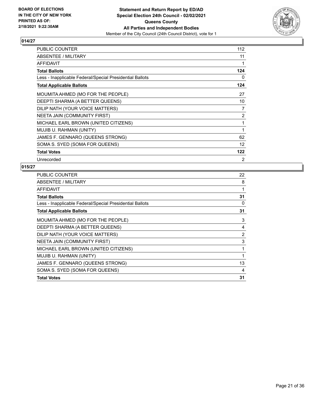

| PUBLIC COUNTER                                           | 112 |
|----------------------------------------------------------|-----|
| ABSENTEE / MILITARY                                      | 11  |
| <b>AFFIDAVIT</b>                                         | 1   |
| <b>Total Ballots</b>                                     | 124 |
| Less - Inapplicable Federal/Special Presidential Ballots | 0   |
| <b>Total Applicable Ballots</b>                          | 124 |
| MOUMITA AHMED (MO FOR THE PEOPLE)                        | 27  |
| DEEPTI SHARMA (A BETTER QUEENS)                          | 10  |
| DILIP NATH (YOUR VOICE MATTERS)                          | 7   |
| NEETA JAIN (COMMUNITY FIRST)                             | 2   |
| MICHAEL EARL BROWN (UNITED CITIZENS)                     | 1   |
| MUJIB U. RAHMAN (UNITY)                                  | 1   |
| JAMES F. GENNARO (QUEENS STRONG)                         | 62  |
| SOMA S. SYED (SOMA FOR QUEENS)                           | 12  |
| <b>Total Votes</b>                                       | 122 |
| Unrecorded                                               | 2   |

| <b>PUBLIC COUNTER</b>                                    | 22             |
|----------------------------------------------------------|----------------|
| ABSENTEE / MILITARY                                      | 8              |
| <b>AFFIDAVIT</b>                                         | 1              |
| <b>Total Ballots</b>                                     | 31             |
| Less - Inapplicable Federal/Special Presidential Ballots | 0              |
| <b>Total Applicable Ballots</b>                          | 31             |
| MOUMITA AHMED (MO FOR THE PEOPLE)                        | 3              |
| DEEPTI SHARMA (A BETTER QUEENS)                          | 4              |
| DILIP NATH (YOUR VOICE MATTERS)                          | $\overline{2}$ |
| NEETA JAIN (COMMUNITY FIRST)                             | 3              |
| MICHAEL EARL BROWN (UNITED CITIZENS)                     | 1              |
| MUJIB U. RAHMAN (UNITY)                                  | 1              |
| JAMES F. GENNARO (QUEENS STRONG)                         | 13             |
| SOMA S. SYED (SOMA FOR QUEENS)                           | 4              |
| <b>Total Votes</b>                                       | 31             |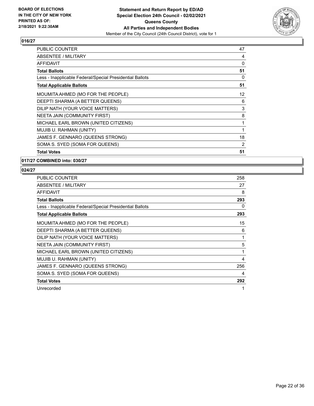

| PUBLIC COUNTER                                           | 47 |
|----------------------------------------------------------|----|
| ABSENTEE / MILITARY                                      | 4  |
| AFFIDAVIT                                                | 0  |
| <b>Total Ballots</b>                                     | 51 |
| Less - Inapplicable Federal/Special Presidential Ballots | 0  |
| <b>Total Applicable Ballots</b>                          | 51 |
| MOUMITA AHMED (MO FOR THE PEOPLE)                        | 12 |
| DEEPTI SHARMA (A BETTER QUEENS)                          | 6  |
| DILIP NATH (YOUR VOICE MATTERS)                          | 3  |
| NEETA JAIN (COMMUNITY FIRST)                             | 8  |
| MICHAEL EARL BROWN (UNITED CITIZENS)                     | 1  |
| MUJIB U. RAHMAN (UNITY)                                  | 1  |
| JAMES F. GENNARO (QUEENS STRONG)                         | 18 |
| SOMA S. SYED (SOMA FOR QUEENS)                           | 2  |
| <b>Total Votes</b>                                       | 51 |

**017/27 COMBINED into: 030/27**

| <b>PUBLIC COUNTER</b>                                    | 258 |
|----------------------------------------------------------|-----|
| ABSENTEE / MILITARY                                      | 27  |
| AFFIDAVIT                                                | 8   |
| <b>Total Ballots</b>                                     | 293 |
| Less - Inapplicable Federal/Special Presidential Ballots | 0   |
| <b>Total Applicable Ballots</b>                          | 293 |
| MOUMITA AHMED (MO FOR THE PEOPLE)                        | 15  |
| DEEPTI SHARMA (A BETTER QUEENS)                          | 6   |
| DILIP NATH (YOUR VOICE MATTERS)                          | 1   |
| NEETA JAIN (COMMUNITY FIRST)                             | 5   |
| MICHAEL EARL BROWN (UNITED CITIZENS)                     |     |
| MUJIB U. RAHMAN (UNITY)                                  | 4   |
| JAMES F. GENNARO (QUEENS STRONG)                         | 256 |
| SOMA S. SYED (SOMA FOR QUEENS)                           | 4   |
| <b>Total Votes</b>                                       | 292 |
| Unrecorded                                               | 1   |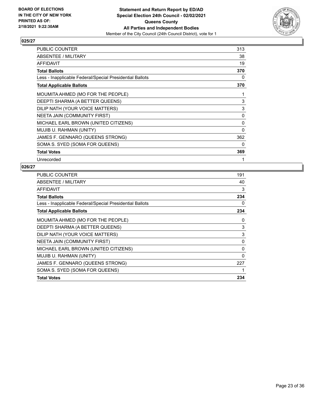

| PUBLIC COUNTER                                           | 313      |
|----------------------------------------------------------|----------|
| <b>ABSENTEE / MILITARY</b>                               | 38       |
| <b>AFFIDAVIT</b>                                         | 19       |
| <b>Total Ballots</b>                                     | 370      |
| Less - Inapplicable Federal/Special Presidential Ballots | 0        |
| <b>Total Applicable Ballots</b>                          | 370      |
| MOUMITA AHMED (MO FOR THE PEOPLE)                        | 1        |
| DEEPTI SHARMA (A BETTER QUEENS)                          | 3        |
| DILIP NATH (YOUR VOICE MATTERS)                          | 3        |
| NEETA JAIN (COMMUNITY FIRST)                             | 0        |
| MICHAEL EARL BROWN (UNITED CITIZENS)                     | 0        |
| MUJIB U. RAHMAN (UNITY)                                  | $\Omega$ |
| JAMES F. GENNARO (QUEENS STRONG)                         | 362      |
| SOMA S. SYED (SOMA FOR QUEENS)                           | 0        |
| <b>Total Votes</b>                                       | 369      |
| Unrecorded                                               | 1        |

| <b>PUBLIC COUNTER</b>                                    | 191      |
|----------------------------------------------------------|----------|
| ABSENTEE / MILITARY                                      | 40       |
| <b>AFFIDAVIT</b>                                         | 3        |
| <b>Total Ballots</b>                                     | 234      |
| Less - Inapplicable Federal/Special Presidential Ballots | 0        |
| <b>Total Applicable Ballots</b>                          | 234      |
| MOUMITA AHMED (MO FOR THE PEOPLE)                        | 0        |
| DEEPTI SHARMA (A BETTER QUEENS)                          | 3        |
| DILIP NATH (YOUR VOICE MATTERS)                          | 3        |
| NEETA JAIN (COMMUNITY FIRST)                             | 0        |
| MICHAEL EARL BROWN (UNITED CITIZENS)                     | 0        |
| MUJIB U. RAHMAN (UNITY)                                  | $\Omega$ |
| JAMES F. GENNARO (QUEENS STRONG)                         | 227      |
| SOMA S. SYED (SOMA FOR QUEENS)                           | 1        |
| <b>Total Votes</b>                                       | 234      |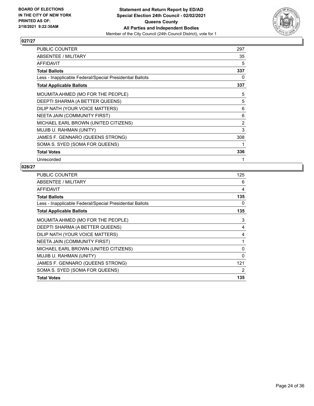

| PUBLIC COUNTER                                           | 297 |
|----------------------------------------------------------|-----|
| <b>ABSENTEE / MILITARY</b>                               | 35  |
| <b>AFFIDAVIT</b>                                         | 5   |
| <b>Total Ballots</b>                                     | 337 |
| Less - Inapplicable Federal/Special Presidential Ballots | 0   |
| <b>Total Applicable Ballots</b>                          | 337 |
| MOUMITA AHMED (MO FOR THE PEOPLE)                        | 5   |
| DEEPTI SHARMA (A BETTER QUEENS)                          | 5   |
| DILIP NATH (YOUR VOICE MATTERS)                          | 6   |
| NEETA JAIN (COMMUNITY FIRST)                             | 6   |
| MICHAEL EARL BROWN (UNITED CITIZENS)                     | 2   |
| MUJIB U. RAHMAN (UNITY)                                  | 3   |
| JAMES F. GENNARO (QUEENS STRONG)                         | 308 |
| SOMA S. SYED (SOMA FOR QUEENS)                           |     |
| <b>Total Votes</b>                                       | 336 |
| Unrecorded                                               | 1   |

| PUBLIC COUNTER                                           | 125 |
|----------------------------------------------------------|-----|
| ABSENTEE / MILITARY                                      | 6   |
| AFFIDAVIT                                                | 4   |
| <b>Total Ballots</b>                                     | 135 |
| Less - Inapplicable Federal/Special Presidential Ballots | 0   |
| <b>Total Applicable Ballots</b>                          | 135 |
| MOUMITA AHMED (MO FOR THE PEOPLE)                        | 3   |
| DEEPTI SHARMA (A BETTER QUEENS)                          | 4   |
| DILIP NATH (YOUR VOICE MATTERS)                          | 4   |
| NEETA JAIN (COMMUNITY FIRST)                             | 1   |
| MICHAEL EARL BROWN (UNITED CITIZENS)                     | 0   |
| MUJIB U. RAHMAN (UNITY)                                  | 0   |
| JAMES F. GENNARO (QUEENS STRONG)                         | 121 |
| SOMA S. SYED (SOMA FOR QUEENS)                           | 2   |
| <b>Total Votes</b>                                       | 135 |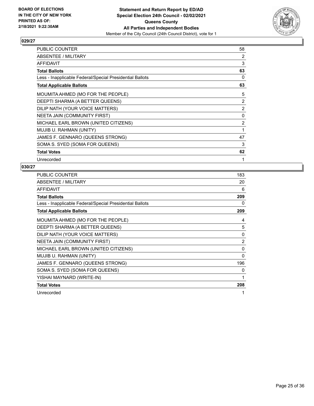

| PUBLIC COUNTER                                           | 58             |
|----------------------------------------------------------|----------------|
| ABSENTEE / MILITARY                                      | 2              |
| <b>AFFIDAVIT</b>                                         | 3              |
| <b>Total Ballots</b>                                     | 63             |
| Less - Inapplicable Federal/Special Presidential Ballots | 0              |
| <b>Total Applicable Ballots</b>                          | 63             |
| MOUMITA AHMED (MO FOR THE PEOPLE)                        | 5              |
| DEEPTI SHARMA (A BETTER QUEENS)                          | $\overline{2}$ |
| DILIP NATH (YOUR VOICE MATTERS)                          | 2              |
| <b>NEETA JAIN (COMMUNITY FIRST)</b>                      | $\Omega$       |
| MICHAEL EARL BROWN (UNITED CITIZENS)                     | 2              |
| MUJIB U. RAHMAN (UNITY)                                  | 1              |
| JAMES F. GENNARO (QUEENS STRONG)                         | 47             |
| SOMA S. SYED (SOMA FOR QUEENS)                           | 3              |
| <b>Total Votes</b>                                       | 62             |
| Unrecorded                                               |                |

| <b>PUBLIC COUNTER</b>                                    | 183            |
|----------------------------------------------------------|----------------|
| ABSENTEE / MILITARY                                      | 20             |
| <b>AFFIDAVIT</b>                                         | 6              |
| <b>Total Ballots</b>                                     | 209            |
| Less - Inapplicable Federal/Special Presidential Ballots | 0              |
| <b>Total Applicable Ballots</b>                          | 209            |
| MOUMITA AHMED (MO FOR THE PEOPLE)                        | 4              |
| DEEPTI SHARMA (A BETTER QUEENS)                          | 5              |
| DILIP NATH (YOUR VOICE MATTERS)                          | $\Omega$       |
| NEETA JAIN (COMMUNITY FIRST)                             | $\overline{2}$ |
| MICHAEL EARL BROWN (UNITED CITIZENS)                     | 0              |
| MUJIB U. RAHMAN (UNITY)                                  | 0              |
| JAMES F. GENNARO (QUEENS STRONG)                         | 196            |
| SOMA S. SYED (SOMA FOR QUEENS)                           | 0              |
| YISHAI MAYNARD (WRITE-IN)                                | 1              |
| <b>Total Votes</b>                                       | 208            |
| Unrecorded                                               |                |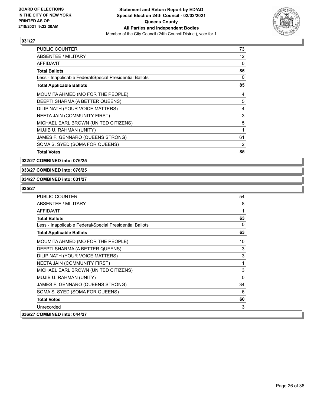

| <b>PUBLIC COUNTER</b>                                    | 73       |
|----------------------------------------------------------|----------|
| ABSENTEE / MILITARY                                      | 12       |
| <b>AFFIDAVIT</b>                                         | $\Omega$ |
| <b>Total Ballots</b>                                     | 85       |
| Less - Inapplicable Federal/Special Presidential Ballots | 0        |
| <b>Total Applicable Ballots</b>                          | 85       |
| MOUMITA AHMED (MO FOR THE PEOPLE)                        | 4        |
| DEEPTI SHARMA (A BETTER QUEENS)                          | 5        |
| DILIP NATH (YOUR VOICE MATTERS)                          | 4        |
| NEETA JAIN (COMMUNITY FIRST)                             | 3        |
| MICHAEL EARL BROWN (UNITED CITIZENS)                     | 5        |
| MUJIB U. RAHMAN (UNITY)                                  | 1        |
| JAMES F. GENNARO (QUEENS STRONG)                         | 61       |
| SOMA S. SYED (SOMA FOR QUEENS)                           | 2        |
| <b>Total Votes</b>                                       | 85       |

**032/27 COMBINED into: 076/25**

#### **033/27 COMBINED into: 076/25**

#### **034/27 COMBINED into: 031/27**

| PUBLIC COUNTER                                           | 54       |
|----------------------------------------------------------|----------|
| <b>ABSENTEE / MILITARY</b>                               | 8        |
| <b>AFFIDAVIT</b>                                         | 1        |
| <b>Total Ballots</b>                                     | 63       |
| Less - Inapplicable Federal/Special Presidential Ballots | $\Omega$ |
| <b>Total Applicable Ballots</b>                          | 63       |
| MOUMITA AHMED (MO FOR THE PEOPLE)                        | 10       |
| DEEPTI SHARMA (A BETTER QUEENS)                          | 3        |
| DILIP NATH (YOUR VOICE MATTERS)                          | 3        |
| NEETA JAIN (COMMUNITY FIRST)                             | 1        |
| MICHAEL EARL BROWN (UNITED CITIZENS)                     | 3        |
| MUJIB U. RAHMAN (UNITY)                                  | $\Omega$ |
| JAMES F. GENNARO (QUEENS STRONG)                         | 34       |
| SOMA S. SYED (SOMA FOR QUEENS)                           | 6        |
| <b>Total Votes</b>                                       | 60       |
| Unrecorded                                               | 3        |
| 036/27 COMBINED into: 044/27                             |          |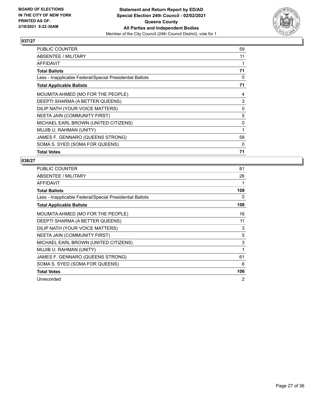

| PUBLIC COUNTER                                           | 59 |
|----------------------------------------------------------|----|
| ABSENTEE / MILITARY                                      | 11 |
| <b>AFFIDAVIT</b>                                         |    |
| <b>Total Ballots</b>                                     | 71 |
| Less - Inapplicable Federal/Special Presidential Ballots | 0  |
| <b>Total Applicable Ballots</b>                          | 71 |
| MOUMITA AHMED (MO FOR THE PEOPLE)                        | 4  |
| DEEPTI SHARMA (A BETTER QUEENS)                          | 3  |
| DILIP NATH (YOUR VOICE MATTERS)                          | 0  |
| NEETA JAIN (COMMUNITY FIRST)                             | 5  |
| MICHAEL EARL BROWN (UNITED CITIZENS)                     | 0  |
| MUJIB U. RAHMAN (UNITY)                                  | 1  |
| JAMES F. GENNARO (QUEENS STRONG)                         | 58 |
| SOMA S. SYED (SOMA FOR QUEENS)                           | 0  |
| <b>Total Votes</b>                                       | 71 |

| PUBLIC COUNTER                                           | 81             |
|----------------------------------------------------------|----------------|
| ABSENTEE / MILITARY                                      | 26             |
| AFFIDAVIT                                                |                |
| Total Ballots                                            | 108            |
| Less - Inapplicable Federal/Special Presidential Ballots | 0              |
| <b>Total Applicable Ballots</b>                          | 108            |
| MOUMITA AHMED (MO FOR THE PEOPLE)                        | 16             |
| DEEPTI SHARMA (A BETTER QUEENS)                          | 11             |
| DILIP NATH (YOUR VOICE MATTERS)                          | 3              |
| NEETA JAIN (COMMUNITY FIRST)                             | 5              |
| MICHAEL EARL BROWN (UNITED CITIZENS)                     | 3              |
| MUJIB U. RAHMAN (UNITY)                                  | 1              |
| JAMES F. GENNARO (QUEENS STRONG)                         | 61             |
| SOMA S. SYED (SOMA FOR QUEENS)                           | 6              |
| <b>Total Votes</b>                                       | 106            |
| Unrecorded                                               | $\overline{2}$ |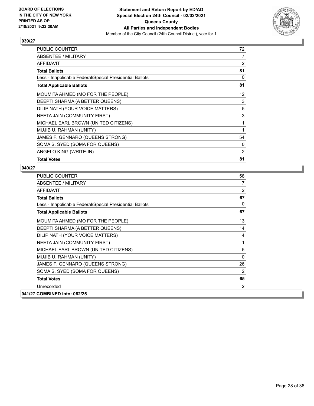

| PUBLIC COUNTER                                           | 72                |
|----------------------------------------------------------|-------------------|
| <b>ABSENTEE / MILITARY</b>                               | $\overline{7}$    |
| <b>AFFIDAVIT</b>                                         | 2                 |
| <b>Total Ballots</b>                                     | 81                |
| Less - Inapplicable Federal/Special Presidential Ballots | $\Omega$          |
| <b>Total Applicable Ballots</b>                          | 81                |
| MOUMITA AHMED (MO FOR THE PEOPLE)                        | $12 \overline{ }$ |
| DEEPTI SHARMA (A BETTER QUEENS)                          | 3                 |
| DILIP NATH (YOUR VOICE MATTERS)                          | 5                 |
| NEETA JAIN (COMMUNITY FIRST)                             | 3                 |
| MICHAEL EARL BROWN (UNITED CITIZENS)                     | 1                 |
| MUJIB U. RAHMAN (UNITY)                                  | 1                 |
| JAMES F. GENNARO (QUEENS STRONG)                         | 54                |
| SOMA S. SYED (SOMA FOR QUEENS)                           | 0                 |
| ANGELO KING (WRITE-IN)                                   | 2                 |
| <b>Total Votes</b>                                       | 81                |

| <b>PUBLIC COUNTER</b>                                    | 58       |
|----------------------------------------------------------|----------|
| ABSENTEE / MILITARY                                      | 7        |
| <b>AFFIDAVIT</b>                                         | 2        |
| <b>Total Ballots</b>                                     | 67       |
| Less - Inapplicable Federal/Special Presidential Ballots | $\Omega$ |
| <b>Total Applicable Ballots</b>                          | 67       |
| MOUMITA AHMED (MO FOR THE PEOPLE)                        | 13       |
| DEEPTI SHARMA (A BETTER QUEENS)                          | 14       |
| DILIP NATH (YOUR VOICE MATTERS)                          | 4        |
| NEETA JAIN (COMMUNITY FIRST)                             | 1        |
| MICHAEL EARL BROWN (UNITED CITIZENS)                     | 5        |
| MUJIB U. RAHMAN (UNITY)                                  | $\Omega$ |
| JAMES F. GENNARO (QUEENS STRONG)                         | 26       |
| SOMA S. SYED (SOMA FOR QUEENS)                           | 2        |
| <b>Total Votes</b>                                       | 65       |
| Unrecorded                                               | 2        |
| 041/27 COMBINED into: 062/25                             |          |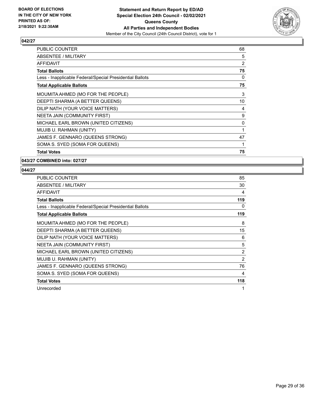

| PUBLIC COUNTER                                           | 68 |
|----------------------------------------------------------|----|
| ABSENTEE / MILITARY                                      | 5  |
| AFFIDAVIT                                                | 2  |
| <b>Total Ballots</b>                                     | 75 |
| Less - Inapplicable Federal/Special Presidential Ballots | 0  |
| <b>Total Applicable Ballots</b>                          | 75 |
| MOUMITA AHMED (MO FOR THE PEOPLE)                        | 3  |
| DEEPTI SHARMA (A BETTER QUEENS)                          | 10 |
| DILIP NATH (YOUR VOICE MATTERS)                          | 4  |
| NEETA JAIN (COMMUNITY FIRST)                             | 9  |
| MICHAEL EARL BROWN (UNITED CITIZENS)                     | 0  |
| MUJIB U. RAHMAN (UNITY)                                  | 1  |
| JAMES F. GENNARO (QUEENS STRONG)                         | 47 |
| SOMA S. SYED (SOMA FOR QUEENS)                           | 1  |
| <b>Total Votes</b>                                       | 75 |

**043/27 COMBINED into: 027/27**

| <b>PUBLIC COUNTER</b>                                    | 85             |
|----------------------------------------------------------|----------------|
| ABSENTEE / MILITARY                                      | 30             |
| AFFIDAVIT                                                | 4              |
| <b>Total Ballots</b>                                     | 119            |
| Less - Inapplicable Federal/Special Presidential Ballots | 0              |
| <b>Total Applicable Ballots</b>                          | 119            |
| MOUMITA AHMED (MO FOR THE PEOPLE)                        | 8              |
| DEEPTI SHARMA (A BETTER QUEENS)                          | 15             |
| DILIP NATH (YOUR VOICE MATTERS)                          | 6              |
| NEETA JAIN (COMMUNITY FIRST)                             | 5              |
| MICHAEL EARL BROWN (UNITED CITIZENS)                     | $\overline{2}$ |
| MUJIB U. RAHMAN (UNITY)                                  | 2              |
| JAMES F. GENNARO (QUEENS STRONG)                         | 76             |
| SOMA S. SYED (SOMA FOR QUEENS)                           | 4              |
| <b>Total Votes</b>                                       | 118            |
| Unrecorded                                               | 1              |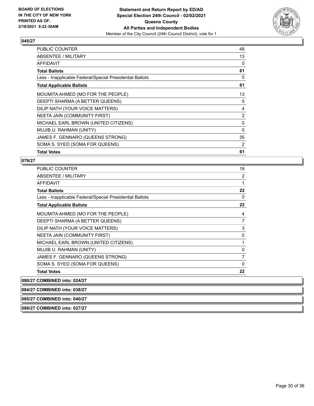

| PUBLIC COUNTER                                           | 48             |
|----------------------------------------------------------|----------------|
| ABSENTEE / MILITARY                                      | 13             |
| AFFIDAVIT                                                | 0              |
| <b>Total Ballots</b>                                     | 61             |
| Less - Inapplicable Federal/Special Presidential Ballots | 0              |
| <b>Total Applicable Ballots</b>                          | 61             |
| MOUMITA AHMED (MO FOR THE PEOPLE)                        | 13             |
| DEEPTI SHARMA (A BETTER QUEENS)                          | 5              |
| DILIP NATH (YOUR VOICE MATTERS)                          | $\overline{4}$ |
| NEETA JAIN (COMMUNITY FIRST)                             | $\overline{2}$ |
| MICHAEL EARL BROWN (UNITED CITIZENS)                     | 0              |
| MUJIB U. RAHMAN (UNITY)                                  | $\Omega$       |
| JAMES F. GENNARO (QUEENS STRONG)                         | 35             |
| SOMA S. SYED (SOMA FOR QUEENS)                           | 2              |
| <b>Total Votes</b>                                       | 61             |

#### **079/27**

| PUBLIC COUNTER                                           | 19 |
|----------------------------------------------------------|----|
| <b>ABSENTEE / MILITARY</b>                               | 2  |
| AFFIDAVIT                                                | 1  |
| <b>Total Ballots</b>                                     | 22 |
| Less - Inapplicable Federal/Special Presidential Ballots | 0  |
| <b>Total Applicable Ballots</b>                          | 22 |
| MOUMITA AHMED (MO FOR THE PEOPLE)                        | 4  |
| DEEPTI SHARMA (A BETTER QUEENS)                          | 7  |
| DILIP NATH (YOUR VOICE MATTERS)                          | 3  |
| NEETA JAIN (COMMUNITY FIRST)                             | 0  |
| MICHAEL EARL BROWN (UNITED CITIZENS)                     | 1  |
| MUJIB U. RAHMAN (UNITY)                                  | 0  |
| JAMES F. GENNARO (QUEENS STRONG)                         | 7  |
| SOMA S. SYED (SOMA FOR QUEENS)                           | 0  |
| <b>Total Votes</b>                                       | 22 |

**080/27 COMBINED into: 024/27**

**084/27 COMBINED into: 038/27**

**085/27 COMBINED into: 040/27**

**089/27 COMBINED into: 027/27**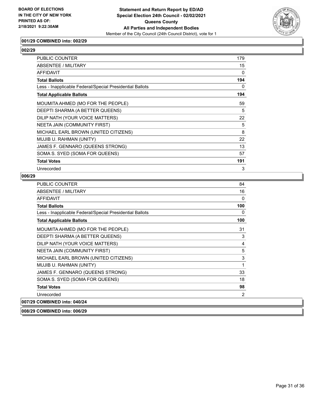

## **001/29 COMBINED into: 002/29**

## **002/29**

| <b>PUBLIC COUNTER</b>                                    | 179 |
|----------------------------------------------------------|-----|
| ABSENTEE / MILITARY                                      | 15  |
| <b>AFFIDAVIT</b>                                         | 0   |
| <b>Total Ballots</b>                                     | 194 |
| Less - Inapplicable Federal/Special Presidential Ballots | 0   |
| <b>Total Applicable Ballots</b>                          | 194 |
| MOUMITA AHMED (MO FOR THE PEOPLE)                        | 59  |
| DEEPTI SHARMA (A BETTER QUEENS)                          | 5   |
| DILIP NATH (YOUR VOICE MATTERS)                          | 22  |
| NEETA JAIN (COMMUNITY FIRST)                             | 5   |
| MICHAEL EARL BROWN (UNITED CITIZENS)                     | 8   |
| MUJIB U. RAHMAN (UNITY)                                  | 22  |
| JAMES F. GENNARO (QUEENS STRONG)                         | 13  |
| SOMA S. SYED (SOMA FOR QUEENS)                           | 57  |
| <b>Total Votes</b>                                       | 191 |
| Unrecorded                                               | 3   |

## **006/29**

| PUBLIC COUNTER                                           | 84  |
|----------------------------------------------------------|-----|
| <b>ABSENTEE / MILITARY</b>                               | 16  |
| <b>AFFIDAVIT</b>                                         | 0   |
| <b>Total Ballots</b>                                     | 100 |
| Less - Inapplicable Federal/Special Presidential Ballots | 0   |
| <b>Total Applicable Ballots</b>                          | 100 |
| MOUMITA AHMED (MO FOR THE PEOPLE)                        | 31  |
| DEEPTI SHARMA (A BETTER QUEENS)                          | 3   |
| DILIP NATH (YOUR VOICE MATTERS)                          | 4   |
| NEETA JAIN (COMMUNITY FIRST)                             | 5   |
| MICHAEL EARL BROWN (UNITED CITIZENS)                     | 3   |
| MUJIB U. RAHMAN (UNITY)                                  | 1   |
| JAMES F. GENNARO (QUEENS STRONG)                         | 33  |
| SOMA S. SYED (SOMA FOR QUEENS)                           | 18  |
| <b>Total Votes</b>                                       | 98  |
| Unrecorded                                               | 2   |
| 007/29 COMBINED into: 040/24                             |     |

**008/29 COMBINED into: 006/29**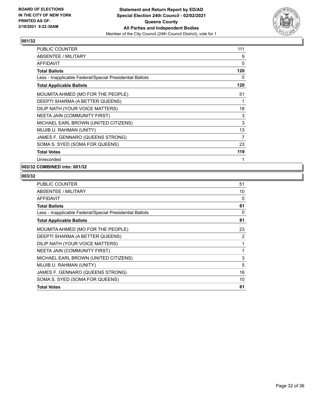

| PUBLIC COUNTER                                           | 111 |
|----------------------------------------------------------|-----|
| ABSENTEE / MILITARY                                      | 9   |
| <b>AFFIDAVIT</b>                                         | 0   |
| <b>Total Ballots</b>                                     | 120 |
| Less - Inapplicable Federal/Special Presidential Ballots | 0   |
| <b>Total Applicable Ballots</b>                          | 120 |
| MOUMITA AHMED (MO FOR THE PEOPLE)                        | 51  |
| DEEPTI SHARMA (A BETTER QUEENS)                          | 1   |
| DILIP NATH (YOUR VOICE MATTERS)                          | 18  |
| NEETA JAIN (COMMUNITY FIRST)                             | 3   |
| MICHAEL EARL BROWN (UNITED CITIZENS)                     | 3   |
| MUJIB U. RAHMAN (UNITY)                                  | 13  |
| JAMES F. GENNARO (QUEENS STRONG)                         | 7   |
| SOMA S. SYED (SOMA FOR QUEENS)                           | 23  |
| <b>Total Votes</b>                                       | 119 |
| Unrecorded                                               | 1   |

# **002/32 COMBINED into: 001/32**

| PUBLIC COUNTER                                           | 51       |
|----------------------------------------------------------|----------|
| ABSENTEE / MILITARY                                      | 10       |
| <b>AFFIDAVIT</b>                                         | 0        |
| <b>Total Ballots</b>                                     | 61       |
| Less - Inapplicable Federal/Special Presidential Ballots | $\Omega$ |
| <b>Total Applicable Ballots</b>                          | 61       |
| MOUMITA AHMED (MO FOR THE PEOPLE)                        | 23       |
| DEEPTI SHARMA (A BETTER QUEENS)                          | 2        |
| DILIP NATH (YOUR VOICE MATTERS)                          | 1        |
| NEETA JAIN (COMMUNITY FIRST)                             | 1        |
| MICHAEL EARL BROWN (UNITED CITIZENS)                     | 3        |
| MUJIB U. RAHMAN (UNITY)                                  | 5        |
| JAMES F. GENNARO (QUEENS STRONG)                         | 16       |
| SOMA S. SYED (SOMA FOR QUEENS)                           | 10       |
| <b>Total Votes</b>                                       | 61       |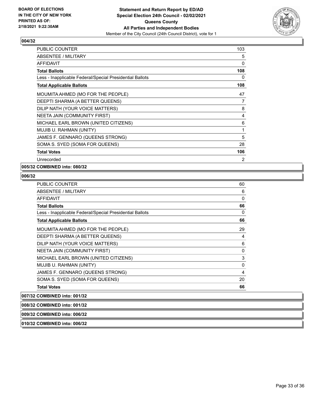

| <b>PUBLIC COUNTER</b>                                    | 103 |
|----------------------------------------------------------|-----|
| ABSENTEE / MILITARY                                      | 5   |
| <b>AFFIDAVIT</b>                                         | 0   |
| <b>Total Ballots</b>                                     | 108 |
| Less - Inapplicable Federal/Special Presidential Ballots | 0   |
| <b>Total Applicable Ballots</b>                          | 108 |
| MOUMITA AHMED (MO FOR THE PEOPLE)                        | 47  |
| DEEPTI SHARMA (A BETTER QUEENS)                          | 7   |
| DILIP NATH (YOUR VOICE MATTERS)                          | 8   |
| NEETA JAIN (COMMUNITY FIRST)                             | 4   |
| MICHAEL EARL BROWN (UNITED CITIZENS)                     | 6   |
| MUJIB U. RAHMAN (UNITY)                                  | 1   |
| JAMES F. GENNARO (QUEENS STRONG)                         | 5   |
| SOMA S. SYED (SOMA FOR QUEENS)                           | 28  |
| <b>Total Votes</b>                                       | 106 |
| Unrecorded                                               | 2   |

# **005/32 COMBINED into: 080/32**

#### **006/32**

| PUBLIC COUNTER                                           | 60 |
|----------------------------------------------------------|----|
| ABSENTEE / MILITARY                                      | 6  |
| <b>AFFIDAVIT</b>                                         | 0  |
| <b>Total Ballots</b>                                     | 66 |
| Less - Inapplicable Federal/Special Presidential Ballots | 0  |
| <b>Total Applicable Ballots</b>                          | 66 |
| MOUMITA AHMED (MO FOR THE PEOPLE)                        | 29 |
| DEEPTI SHARMA (A BETTER QUEENS)                          | 4  |
| DILIP NATH (YOUR VOICE MATTERS)                          | 6  |
| NEETA JAIN (COMMUNITY FIRST)                             | 0  |
| MICHAEL EARL BROWN (UNITED CITIZENS)                     | 3  |
| MUJIB U. RAHMAN (UNITY)                                  | 0  |
| JAMES F. GENNARO (QUEENS STRONG)                         | 4  |
| SOMA S. SYED (SOMA FOR QUEENS)                           | 20 |
| <b>Total Votes</b>                                       | 66 |

**007/32 COMBINED into: 001/32**

**008/32 COMBINED into: 001/32**

#### **009/32 COMBINED into: 006/32**

**010/32 COMBINED into: 006/32**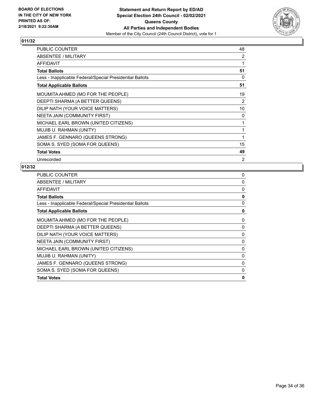

| PUBLIC COUNTER                                           | 48       |
|----------------------------------------------------------|----------|
| <b>ABSENTEE / MILITARY</b>                               | 2        |
| <b>AFFIDAVIT</b>                                         | 1        |
| <b>Total Ballots</b>                                     | 51       |
| Less - Inapplicable Federal/Special Presidential Ballots | $\Omega$ |
| <b>Total Applicable Ballots</b>                          | 51       |
| MOUMITA AHMED (MO FOR THE PEOPLE)                        | 19       |
| DEEPTI SHARMA (A BETTER QUEENS)                          | 2        |
| DILIP NATH (YOUR VOICE MATTERS)                          | 10       |
| NEETA JAIN (COMMUNITY FIRST)                             | 0        |
| MICHAEL EARL BROWN (UNITED CITIZENS)                     | 1        |
| MUJIB U. RAHMAN (UNITY)                                  | 1        |
| JAMES F. GENNARO (QUEENS STRONG)                         | 1        |
| SOMA S. SYED (SOMA FOR QUEENS)                           | 15       |
| <b>Total Votes</b>                                       | 49       |
| Unrecorded                                               | 2        |

| <b>PUBLIC COUNTER</b>                                    | 0            |
|----------------------------------------------------------|--------------|
| ABSENTEE / MILITARY                                      | 0            |
| AFFIDAVIT                                                | 0            |
| <b>Total Ballots</b>                                     | 0            |
| Less - Inapplicable Federal/Special Presidential Ballots | 0            |
| <b>Total Applicable Ballots</b>                          | 0            |
| MOUMITA AHMED (MO FOR THE PEOPLE)                        | 0            |
| DEEPTI SHARMA (A BETTER QUEENS)                          | 0            |
| DILIP NATH (YOUR VOICE MATTERS)                          | 0            |
| NEETA JAIN (COMMUNITY FIRST)                             | 0            |
| MICHAEL EARL BROWN (UNITED CITIZENS)                     | 0            |
| MUJIB U. RAHMAN (UNITY)                                  | 0            |
| JAMES F. GENNARO (QUEENS STRONG)                         | $\mathbf{0}$ |
| SOMA S. SYED (SOMA FOR QUEENS)                           | 0            |
| <b>Total Votes</b>                                       | $\mathbf{0}$ |
|                                                          |              |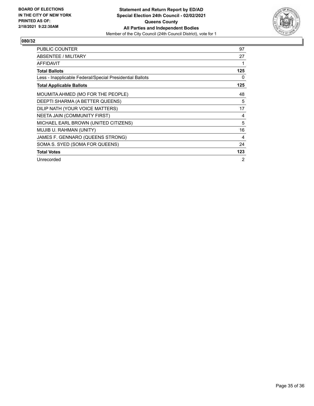

| <b>PUBLIC COUNTER</b>                                    | 97  |
|----------------------------------------------------------|-----|
| ABSENTEE / MILITARY                                      | 27  |
| <b>AFFIDAVIT</b>                                         |     |
| <b>Total Ballots</b>                                     | 125 |
| Less - Inapplicable Federal/Special Presidential Ballots | 0   |
| <b>Total Applicable Ballots</b>                          | 125 |
| MOUMITA AHMED (MO FOR THE PEOPLE)                        | 48  |
| DEEPTI SHARMA (A BETTER QUEENS)                          | 5   |
| DILIP NATH (YOUR VOICE MATTERS)                          | 17  |
| NEETA JAIN (COMMUNITY FIRST)                             | 4   |
| MICHAEL EARL BROWN (UNITED CITIZENS)                     | 5   |
| MUJIB U. RAHMAN (UNITY)                                  | 16  |
| JAMES F. GENNARO (QUEENS STRONG)                         | 4   |
| SOMA S. SYED (SOMA FOR QUEENS)                           | 24  |
| <b>Total Votes</b>                                       | 123 |
| Unrecorded                                               | 2   |